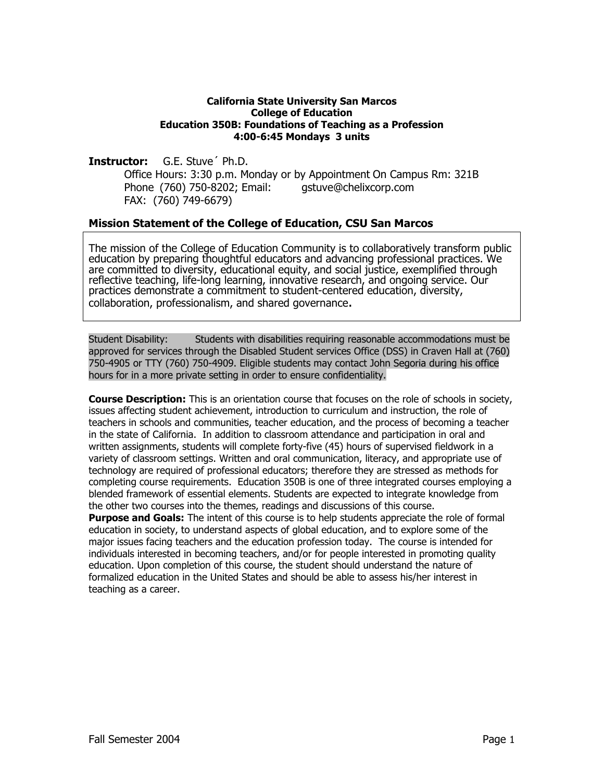#### **California State University San Marcos College of Education Education 350B: Foundations of Teaching as a Profession 4:00-6:45 Mondays 3 units**

**Instructor:** G.E. Stuve´ Ph.D.

 Office Hours: 3:30 p.m. Monday or by Appointment On Campus Rm: 321B Phone (760) 750-8202; Email: gstuve@chelixcorp.com FAX: (760) 749-6679)

### **Mission Statement of the College of Education, CSU San Marcos**

The mission of the College of Education Community is to collaboratively transform public education by preparing thoughtful educators and advancing professional practices. We are committed to diversity, educational equity, and social justice, exemplified through<br>reflective teaching, life-long learning, innovative research, and ongoing service. Our practices demonstrate a commitment to student-centered education, diversity, collaboration, professionalism, and shared governance.

Student Disability: Students with disabilities requiring reasonable accommodations must be approved for services through the Disabled Student services Office (DSS) in Craven Hall at (760) 750-4905 or TTY (760) 750-4909. Eligible students may contact John Segoria during his office hours for in a more private setting in order to ensure confidentiality.

**Course Description:** This is an orientation course that focuses on the role of schools in society, issues affecting student achievement, introduction to curriculum and instruction, the role of teachers in schools and communities, teacher education, and the process of becoming a teacher in the state of California. In addition to classroom attendance and participation in oral and written assignments, students will complete forty-five (45) hours of supervised fieldwork in a variety of classroom settings. Written and oral communication, literacy, and appropriate use of technology are required of professional educators; therefore they are stressed as methods for completing course requirements. Education 350B is one of three integrated courses employing a blended framework of essential elements. Students are expected to integrate knowledge from the other two courses into the themes, readings and discussions of this course.

**Purpose and Goals:** The intent of this course is to help students appreciate the role of formal education in society, to understand aspects of global education, and to explore some of the major issues facing teachers and the education profession today. The course is intended for individuals interested in becoming teachers, and/or for people interested in promoting quality education. Upon completion of this course, the student should understand the nature of formalized education in the United States and should be able to assess his/her interest in teaching as a career.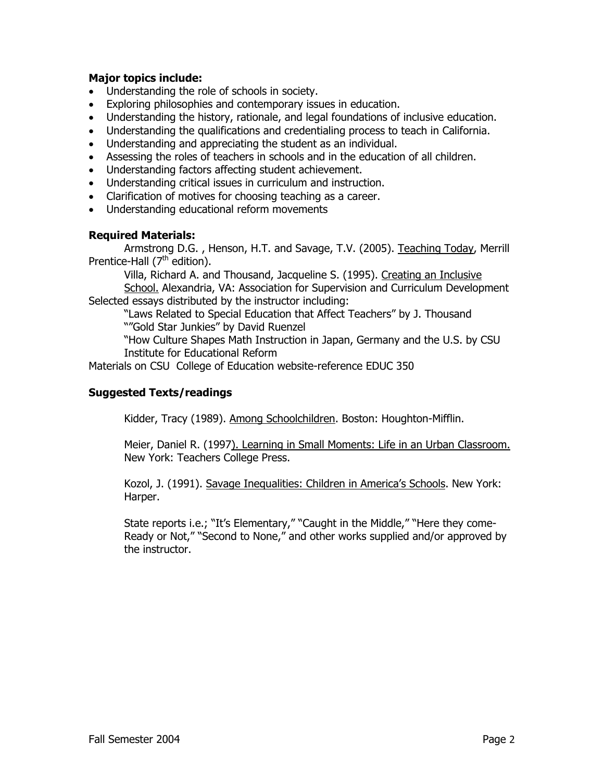### **Major topics include:**

- Understanding the role of schools in society.
- Exploring philosophies and contemporary issues in education.
- Understanding the history, rationale, and legal foundations of inclusive education.
- Understanding the qualifications and credentialing process to teach in California.
- Understanding and appreciating the student as an individual.
- Assessing the roles of teachers in schools and in the education of all children.
- Understanding factors affecting student achievement.
- Understanding critical issues in curriculum and instruction.
- Clarification of motives for choosing teaching as a career.
- Understanding educational reform movements

### **Required Materials:**

 Armstrong D.G. , Henson, H.T. and Savage, T.V. (2005). Teaching Today, Merrill Prentice-Hall (7<sup>th</sup> edition).

Villa, Richard A. and Thousand, Jacqueline S. (1995). Creating an Inclusive School. Alexandria, VA: Association for Supervision and Curriculum Development Selected essays distributed by the instructor including:

 "Laws Related to Special Education that Affect Teachers" by J. Thousand ""Gold Star Junkies" by David Ruenzel

"How Culture Shapes Math Instruction in Japan, Germany and the U.S. by CSU Institute for Educational Reform

Materials on CSU College of Education website-reference EDUC 350

### **Suggested Texts/readings**

Kidder, Tracy (1989). Among Schoolchildren. Boston: Houghton-Mifflin.

Meier, Daniel R. (1997). Learning in Small Moments: Life in an Urban Classroom. New York: Teachers College Press.

Kozol, J. (1991). Savage Inequalities: Children in America's Schools. New York: Harper.

State reports i.e.; "It's Elementary," "Caught in the Middle," "Here they come-Ready or Not," "Second to None," and other works supplied and/or approved by the instructor.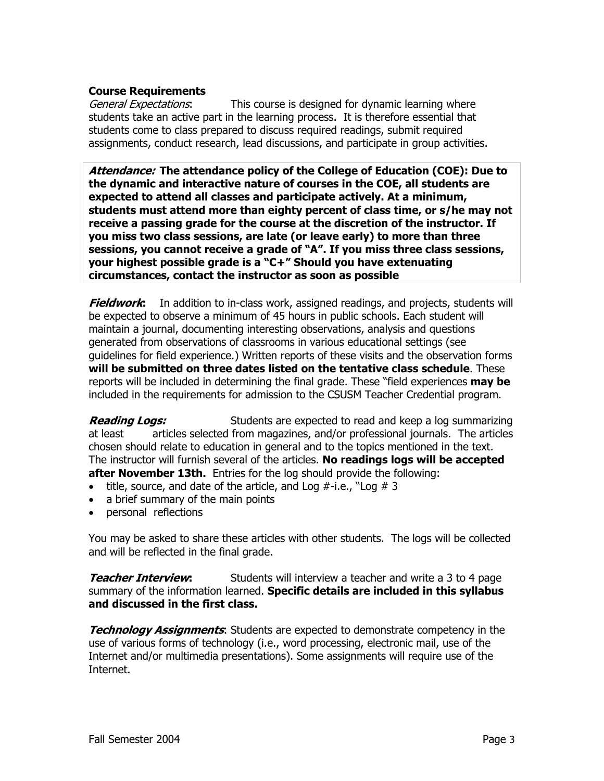### **Course Requirements**

General Expectations: This course is designed for dynamic learning where students take an active part in the learning process. It is therefore essential that students come to class prepared to discuss required readings, submit required assignments, conduct research, lead discussions, and participate in group activities.

**Attendance: The attendance policy of the College of Education (COE): Due to the dynamic and interactive nature of courses in the COE, all students are expected to attend all classes and participate actively. At a minimum, students must attend more than eighty percent of class time, or s/he may not receive a passing grade for the course at the discretion of the instructor. If you miss two class sessions, are late (or leave early) to more than three sessions, you cannot receive a grade of "A". If you miss three class sessions, your highest possible grade is a "C+" Should you have extenuating circumstances, contact the instructor as soon as possible** 

**Fieldwork:** In addition to in-class work, assigned readings, and projects, students will be expected to observe a minimum of 45 hours in public schools. Each student will maintain a journal, documenting interesting observations, analysis and questions generated from observations of classrooms in various educational settings (see guidelines for field experience.) Written reports of these visits and the observation forms **will be submitted on three dates listed on the tentative class schedule**. These reports will be included in determining the final grade. These "field experiences **may be** included in the requirements for admission to the CSUSM Teacher Credential program.

**Reading Logs:** Students are expected to read and keep a log summarizing at least articles selected from magazines, and/or professional journals. The articles chosen should relate to education in general and to the topics mentioned in the text. The instructor will furnish several of the articles. **No readings logs will be accepted after November 13th.** Entries for the log should provide the following:

- title, source, and date of the article, and Log  $#$ -i.e., "Log  $#$  3
- a brief summary of the main points
- personal reflections

You may be asked to share these articles with other students. The logs will be collected and will be reflected in the final grade.

**Teacher Interview:** Students will interview a teacher and write a 3 to 4 page summary of the information learned. **Specific details are included in this syllabus and discussed in the first class.** 

**Technology Assignments**: Students are expected to demonstrate competency in the use of various forms of technology (i.e., word processing, electronic mail, use of the Internet and/or multimedia presentations). Some assignments will require use of the Internet.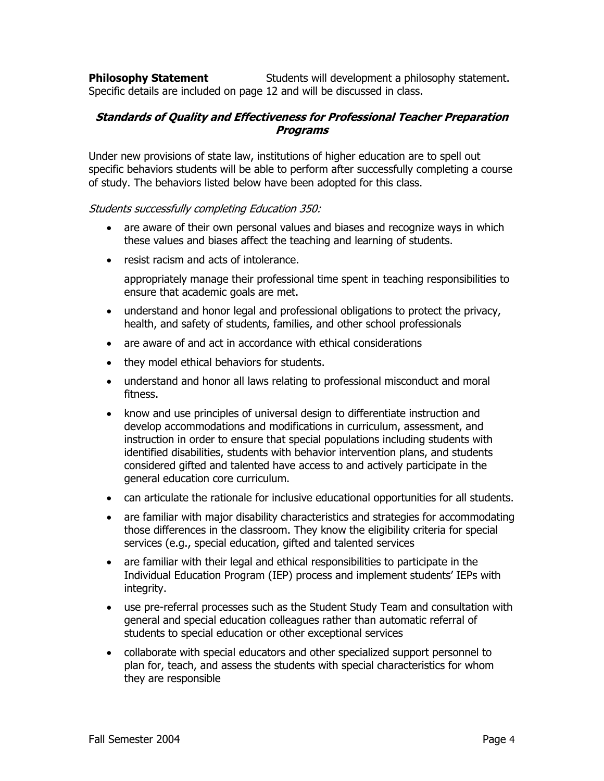**Philosophy Statement** Students will development a philosophy statement. Specific details are included on page 12 and will be discussed in class.

### **Standards of Quality and Effectiveness for Professional Teacher Preparation Programs**

Under new provisions of state law, institutions of higher education are to spell out specific behaviors students will be able to perform after successfully completing a course of study. The behaviors listed below have been adopted for this class.

#### Students successfully completing Education 350:

- are aware of their own personal values and biases and recognize ways in which these values and biases affect the teaching and learning of students.
- resist racism and acts of intolerance.

appropriately manage their professional time spent in teaching responsibilities to ensure that academic goals are met.

- understand and honor legal and professional obligations to protect the privacy, health, and safety of students, families, and other school professionals
- are aware of and act in accordance with ethical considerations
- they model ethical behaviors for students.
- understand and honor all laws relating to professional misconduct and moral fitness.
- know and use principles of universal design to differentiate instruction and develop accommodations and modifications in curriculum, assessment, and instruction in order to ensure that special populations including students with identified disabilities, students with behavior intervention plans, and students considered gifted and talented have access to and actively participate in the general education core curriculum.
- can articulate the rationale for inclusive educational opportunities for all students.
- are familiar with major disability characteristics and strategies for accommodating those differences in the classroom. They know the eligibility criteria for special services (e.g., special education, gifted and talented services
- are familiar with their legal and ethical responsibilities to participate in the Individual Education Program (IEP) process and implement students' IEPs with integrity.
- use pre-referral processes such as the Student Study Team and consultation with general and special education colleagues rather than automatic referral of students to special education or other exceptional services
- collaborate with special educators and other specialized support personnel to plan for, teach, and assess the students with special characteristics for whom they are responsible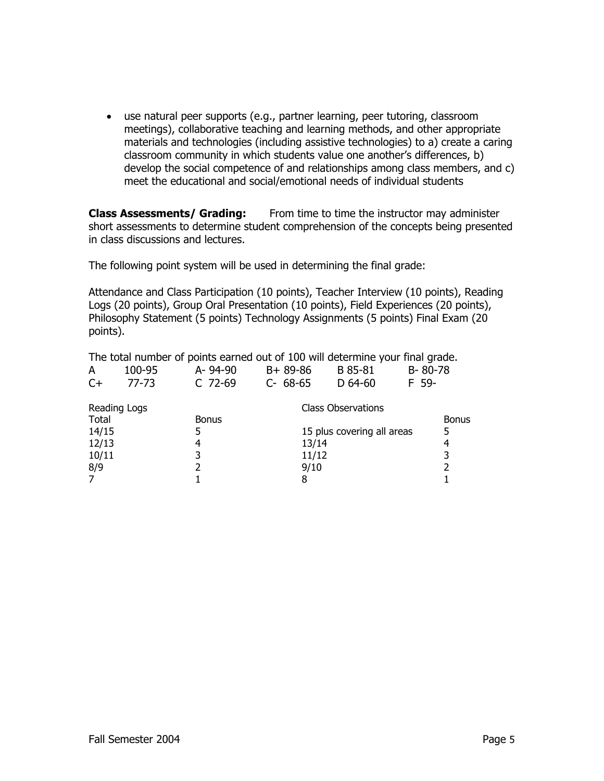• use natural peer supports (e.g., partner learning, peer tutoring, classroom meetings), collaborative teaching and learning methods, and other appropriate materials and technologies (including assistive technologies) to a) create a caring classroom community in which students value one another's differences, b) develop the social competence of and relationships among class members, and c) meet the educational and social/emotional needs of individual students

**Class Assessments/ Grading:** From time to time the instructor may administer short assessments to determine student comprehension of the concepts being presented in class discussions and lectures.

The following point system will be used in determining the final grade:

Attendance and Class Participation (10 points), Teacher Interview (10 points), Reading Logs (20 points), Group Oral Presentation (10 points), Field Experiences (20 points), Philosophy Statement (5 points) Technology Assignments (5 points) Final Exam (20 points).

The total number of points earned out of 100 will determine your final grade.

|    | 100-95 | A-94-90   | B+ 89-86  | B 85-81   | B-80-78 |
|----|--------|-----------|-----------|-----------|---------|
| C+ | 77-73  | $C$ 72-69 | $C-68-65$ | D $64-60$ | F 59-   |

| Reading Logs |              | Class Observations         |       |  |
|--------------|--------------|----------------------------|-------|--|
| Total        | <b>Bonus</b> |                            | Bonus |  |
| 14/15        |              | 15 plus covering all areas | 5     |  |
| 12/13        |              | 13/14                      |       |  |
| 10/11        |              | 11/12                      | 3     |  |
| 8/9          |              | 9/10                       |       |  |
|              |              |                            |       |  |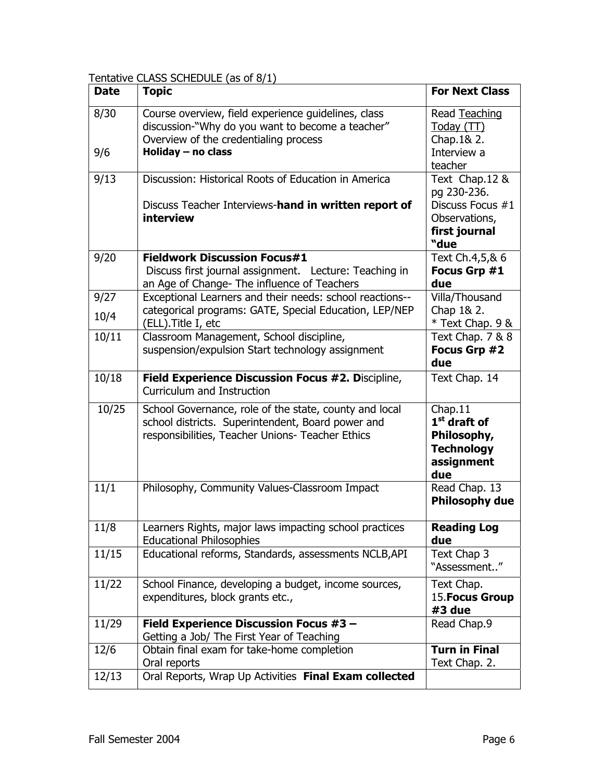Tentative CLASS SCHEDULE (as of 8/1)

| <b>Date</b> | <b>Topic</b>                                                                                                                                                    | <b>For Next Class</b>                                                              |
|-------------|-----------------------------------------------------------------------------------------------------------------------------------------------------------------|------------------------------------------------------------------------------------|
| 8/30        | Course overview, field experience guidelines, class<br>discussion-"Why do you want to become a teacher"<br>Overview of the credentialing process                | Read Teaching<br>Today (TT)<br>Chap. 1& 2.                                         |
| 9/6         | Holiday - no class                                                                                                                                              | Interview a<br>teacher                                                             |
| 9/13        | Discussion: Historical Roots of Education in America                                                                                                            | Text Chap.12 &<br>pg 230-236.                                                      |
|             | Discuss Teacher Interviews-hand in written report of<br>interview                                                                                               | Discuss Focus #1<br>Observations,<br>first journal                                 |
|             |                                                                                                                                                                 | "due                                                                               |
| 9/20        | <b>Fieldwork Discussion Focus#1</b><br>Discuss first journal assignment. Lecture: Teaching in<br>an Age of Change- The influence of Teachers                    | Text Ch.4,5,& 6<br>Focus Grp #1<br>due                                             |
| 9/27        | Exceptional Learners and their needs: school reactions--                                                                                                        | Villa/Thousand                                                                     |
| 10/4        | categorical programs: GATE, Special Education, LEP/NEP<br>(ELL). Title I, etc                                                                                   | Chap 1& 2.<br>* Text Chap. 9 &                                                     |
| 10/11       | Classroom Management, School discipline,<br>suspension/expulsion Start technology assignment                                                                    | Text Chap. 7 & 8<br>Focus Grp #2<br>due                                            |
| 10/18       | Field Experience Discussion Focus #2. Discipline,<br>Curriculum and Instruction                                                                                 | Text Chap. 14                                                                      |
| 10/25       | School Governance, role of the state, county and local<br>school districts. Superintendent, Board power and<br>responsibilities, Teacher Unions- Teacher Ethics | Chap.11<br>$1st$ draft of<br>Philosophy,<br><b>Technology</b><br>assignment<br>due |
| 11/1        | Philosophy, Community Values-Classroom Impact                                                                                                                   | Read Chap. 13<br><b>Philosophy due</b>                                             |
| 11/8        | Learners Rights, major laws impacting school practices<br><b>Educational Philosophies</b>                                                                       | <b>Reading Log</b><br>due                                                          |
| 11/15       | Educational reforms, Standards, assessments NCLB, API                                                                                                           | Text Chap 3<br>"Assessment"                                                        |
| 11/22       | School Finance, developing a budget, income sources,<br>expenditures, block grants etc.,                                                                        | Text Chap.<br>15. Focus Group<br>#3 due                                            |
| 11/29       | Field Experience Discussion Focus #3 -<br>Getting a Job/ The First Year of Teaching                                                                             | Read Chap.9                                                                        |
| 12/6        | Obtain final exam for take-home completion<br>Oral reports                                                                                                      | <b>Turn in Final</b><br>Text Chap. 2.                                              |
| 12/13       | Oral Reports, Wrap Up Activities Final Exam collected                                                                                                           |                                                                                    |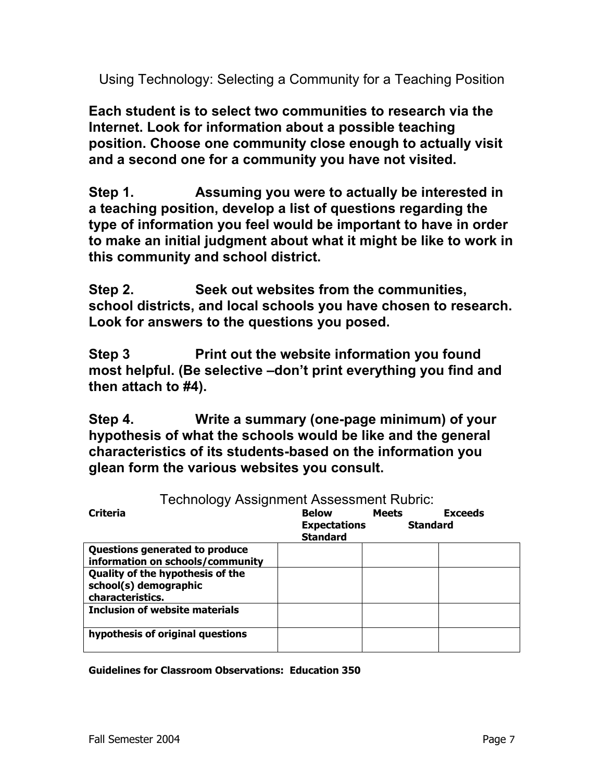Using Technology: Selecting a Community for a Teaching Position

**Each student is to select two communities to research via the Internet. Look for information about a possible teaching position. Choose one community close enough to actually visit and a second one for a community you have not visited.** 

**Step 1. Assuming you were to actually be interested in a teaching position, develop a list of questions regarding the type of information you feel would be important to have in order to make an initial judgment about what it might be like to work in this community and school district.** 

**Step 2. Seek out websites from the communities, school districts, and local schools you have chosen to research. Look for answers to the questions you posed.** 

**Step 3 Print out the website information you found most helpful. (Be selective –don't print everything you find and then attach to #4).** 

**Step 4. Write a summary (one-page minimum) of your hypothesis of what the schools would be like and the general characteristics of its students-based on the information you glean form the various websites you consult.**

| I echnology Assignment Assessment Rudric: |                     |                 |                |  |  |
|-------------------------------------------|---------------------|-----------------|----------------|--|--|
| <b>Criteria</b>                           | Below               | <b>Meets</b>    | <b>Exceeds</b> |  |  |
|                                           | <b>Expectations</b> | <b>Standard</b> |                |  |  |
|                                           | <b>Standard</b>     |                 |                |  |  |
| Questions generated to produce            |                     |                 |                |  |  |
| information on schools/community          |                     |                 |                |  |  |
| <b>Quality of the hypothesis of the</b>   |                     |                 |                |  |  |
| school(s) demographic                     |                     |                 |                |  |  |
| characteristics.                          |                     |                 |                |  |  |
| Inclusion of website materials            |                     |                 |                |  |  |
|                                           |                     |                 |                |  |  |
| hypothesis of original questions          |                     |                 |                |  |  |
|                                           |                     |                 |                |  |  |

Technology Assignment Assessment Rubric:

**Guidelines for Classroom Observations: Education 350**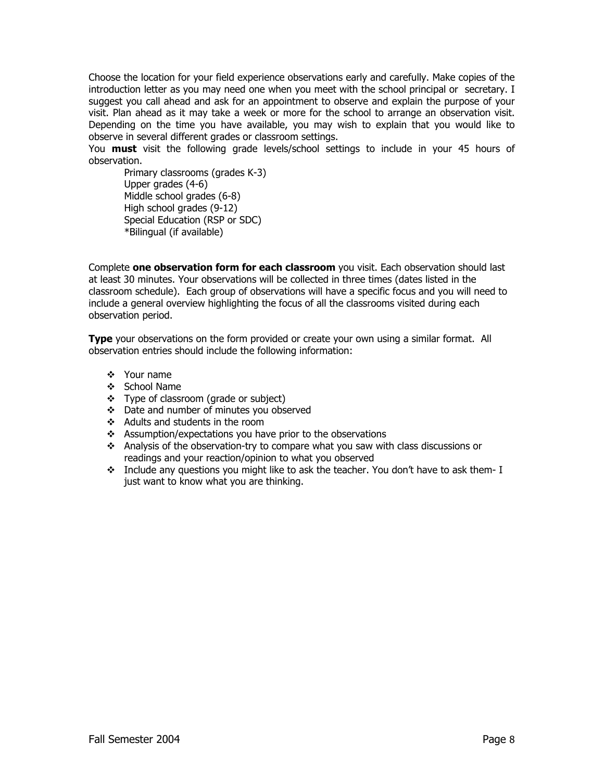Choose the location for your field experience observations early and carefully. Make copies of the introduction letter as you may need one when you meet with the school principal or secretary. I suggest you call ahead and ask for an appointment to observe and explain the purpose of your visit. Plan ahead as it may take a week or more for the school to arrange an observation visit. Depending on the time you have available, you may wish to explain that you would like to observe in several different grades or classroom settings.

You **must** visit the following grade levels/school settings to include in your 45 hours of observation.

Primary classrooms (grades K-3) Upper grades (4-6) Middle school grades (6-8) High school grades (9-12) Special Education (RSP or SDC) \*Bilingual (if available)

Complete **one observation form for each classroom** you visit. Each observation should last at least 30 minutes. Your observations will be collected in three times (dates listed in the classroom schedule). Each group of observations will have a specific focus and you will need to include a general overview highlighting the focus of all the classrooms visited during each observation period.

**Type** your observations on the form provided or create your own using a similar format. All observation entries should include the following information:

- Your name
- ❖ School Name
- Type of classroom (grade or subject)
- Date and number of minutes you observed
- Adults and students in the room
- $\triangleleft$  Assumption/expectations you have prior to the observations
- Analysis of the observation-try to compare what you saw with class discussions or readings and your reaction/opinion to what you observed
- $\cdot \cdot$  Include any questions you might like to ask the teacher. You don't have to ask them- I just want to know what you are thinking.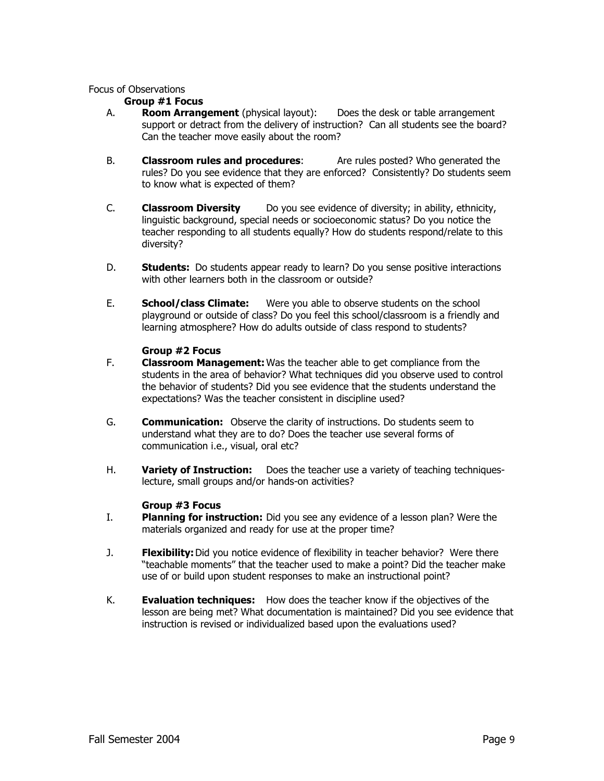#### Focus of Observations

#### **Group #1 Focus**

- A. **Room Arrangement** (physical layout): Does the desk or table arrangement support or detract from the delivery of instruction? Can all students see the board? Can the teacher move easily about the room?
- B. **Classroom rules and procedures**: Are rules posted? Who generated the rules? Do you see evidence that they are enforced? Consistently? Do students seem to know what is expected of them?
- C. **Classroom Diversity** Do you see evidence of diversity; in ability, ethnicity, linguistic background, special needs or socioeconomic status? Do you notice the teacher responding to all students equally? How do students respond/relate to this diversity?
- D. **Students:** Do students appear ready to learn? Do you sense positive interactions with other learners both in the classroom or outside?
- E. **School/class Climate:** Were you able to observe students on the school playground or outside of class? Do you feel this school/classroom is a friendly and learning atmosphere? How do adults outside of class respond to students?

#### **Group #2 Focus**

- F. **Classroom Management:** Was the teacher able to get compliance from the students in the area of behavior? What techniques did you observe used to control the behavior of students? Did you see evidence that the students understand the expectations? Was the teacher consistent in discipline used?
- G. **Communication:** Observe the clarity of instructions. Do students seem to understand what they are to do? Does the teacher use several forms of communication i.e., visual, oral etc?
- H. **Variety of Instruction:** Does the teacher use a variety of teaching techniqueslecture, small groups and/or hands-on activities?

#### **Group #3 Focus**

- I. **Planning for instruction:** Did you see any evidence of a lesson plan? Were the materials organized and ready for use at the proper time?
- J. **Flexibility:** Did you notice evidence of flexibility in teacher behavior? Were there "teachable moments" that the teacher used to make a point? Did the teacher make use of or build upon student responses to make an instructional point?
- K. **Evaluation techniques:** How does the teacher know if the objectives of the lesson are being met? What documentation is maintained? Did you see evidence that instruction is revised or individualized based upon the evaluations used?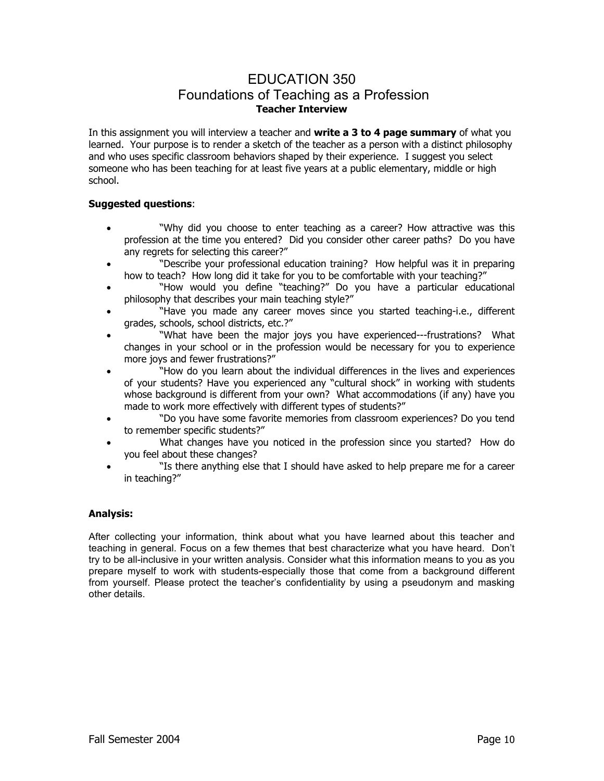## EDUCATION 350 Foundations of Teaching as a Profession **Teacher Interview**

In this assignment you will interview a teacher and **write a 3 to 4 page summary** of what you learned. Your purpose is to render a sketch of the teacher as a person with a distinct philosophy and who uses specific classroom behaviors shaped by their experience. I suggest you select someone who has been teaching for at least five years at a public elementary, middle or high school.

#### **Suggested questions**:

- "Why did you choose to enter teaching as a career? How attractive was this profession at the time you entered? Did you consider other career paths? Do you have any regrets for selecting this career?"
- "Describe your professional education training? How helpful was it in preparing how to teach? How long did it take for you to be comfortable with your teaching?"
- "How would you define "teaching?" Do you have a particular educational philosophy that describes your main teaching style?"
- "Have you made any career moves since you started teaching-i.e., different grades, schools, school districts, etc.?"
- "What have been the major joys you have experienced---frustrations? What changes in your school or in the profession would be necessary for you to experience more joys and fewer frustrations?"
- "How do you learn about the individual differences in the lives and experiences of your students? Have you experienced any "cultural shock" in working with students whose background is different from your own? What accommodations (if any) have you made to work more effectively with different types of students?"
- "Do you have some favorite memories from classroom experiences? Do you tend to remember specific students?"
- What changes have you noticed in the profession since you started? How do you feel about these changes?
- "Is there anything else that I should have asked to help prepare me for a career in teaching?"

#### **Analysis:**

After collecting your information, think about what you have learned about this teacher and teaching in general. Focus on a few themes that best characterize what you have heard. Don't try to be all-inclusive in your written analysis. Consider what this information means to you as you prepare myself to work with students-especially those that come from a background different from yourself. Please protect the teacher's confidentiality by using a pseudonym and masking other details.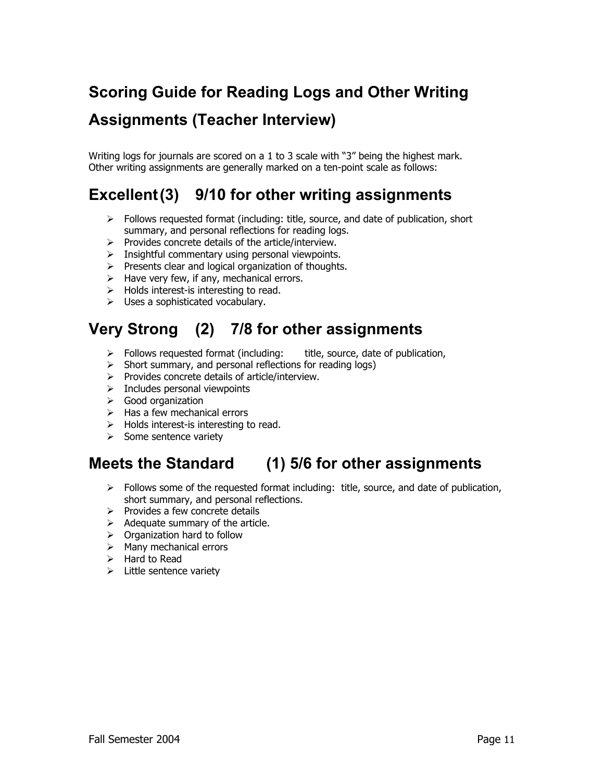# **Scoring Guide for Reading Logs and Other Writing**

# **Assignments (Teacher Interview)**

Writing logs for journals are scored on a 1 to 3 scale with "3" being the highest mark. Other writing assignments are generally marked on a ten-point scale as follows:

# **Excellent (3) 9/10 for other writing assignments**

- $\triangleright$  Follows requested format (including: title, source, and date of publication, short summary, and personal reflections for reading logs.
- $\triangleright$  Provides concrete details of the article/interview.
- $\triangleright$  Insightful commentary using personal viewpoints.
- $\triangleright$  Presents clear and logical organization of thoughts.
- $\triangleright$  Have very few, if any, mechanical errors.
- $\triangleright$  Holds interest-is interesting to read.
- $\triangleright$  Uses a sophisticated vocabulary.

# **Very Strong (2) 7/8 for other assignments**

- $\triangleright$  Follows requested format (including: title, source, date of publication,
- $\triangleright$  Short summary, and personal reflections for reading logs)
- $\triangleright$  Provides concrete details of article/interview.
- $\triangleright$  Includes personal viewpoints
- $\triangleright$  Good organization
- $\triangleright$  Has a few mechanical errors
- $\triangleright$  Holds interest-is interesting to read.
- $\triangleright$  Some sentence variety

# **Meets the Standard (1) 5/6 for other assignments**

- ¾ Follows some of the requested format including: title, source, and date of publication, short summary, and personal reflections.
- $\triangleright$  Provides a few concrete details
- $\triangleright$  Adequate summary of the article.
- $\triangleright$  Organization hard to follow
- $\triangleright$  Many mechanical errors
- $\triangleright$  Hard to Read
- $\triangleright$  Little sentence variety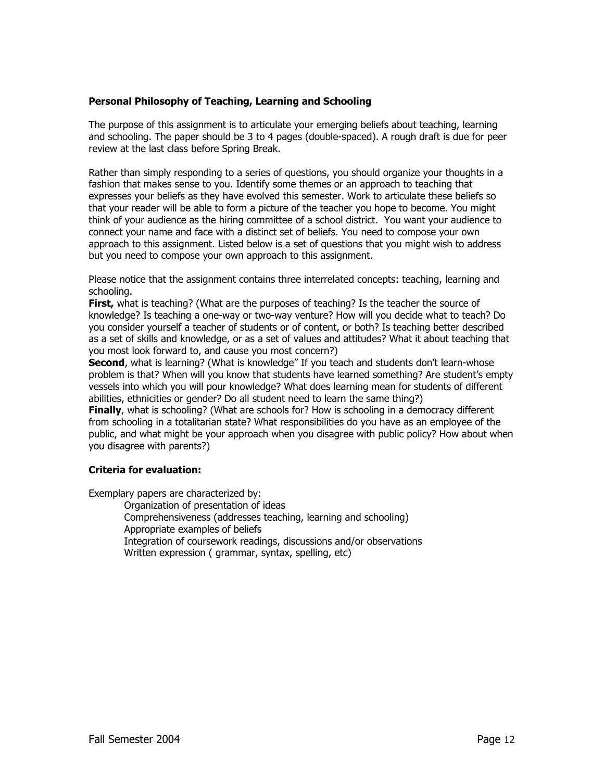#### **Personal Philosophy of Teaching, Learning and Schooling**

The purpose of this assignment is to articulate your emerging beliefs about teaching, learning and schooling. The paper should be 3 to 4 pages (double-spaced). A rough draft is due for peer review at the last class before Spring Break.

Rather than simply responding to a series of questions, you should organize your thoughts in a fashion that makes sense to you. Identify some themes or an approach to teaching that expresses your beliefs as they have evolved this semester. Work to articulate these beliefs so that your reader will be able to form a picture of the teacher you hope to become. You might think of your audience as the hiring committee of a school district. You want your audience to connect your name and face with a distinct set of beliefs. You need to compose your own approach to this assignment. Listed below is a set of questions that you might wish to address but you need to compose your own approach to this assignment.

Please notice that the assignment contains three interrelated concepts: teaching, learning and schooling.

**First,** what is teaching? (What are the purposes of teaching? Is the teacher the source of knowledge? Is teaching a one-way or two-way venture? How will you decide what to teach? Do you consider yourself a teacher of students or of content, or both? Is teaching better described as a set of skills and knowledge, or as a set of values and attitudes? What it about teaching that you most look forward to, and cause you most concern?)

**Second**, what is learning? (What is knowledge" If you teach and students don't learn-whose problem is that? When will you know that students have learned something? Are student's empty vessels into which you will pour knowledge? What does learning mean for students of different abilities, ethnicities or gender? Do all student need to learn the same thing?)

**Finally**, what is schooling? (What are schools for? How is schooling in a democracy different from schooling in a totalitarian state? What responsibilities do you have as an employee of the public, and what might be your approach when you disagree with public policy? How about when you disagree with parents?)

#### **Criteria for evaluation:**

Exemplary papers are characterized by:

- Organization of presentation of ideas
- Comprehensiveness (addresses teaching, learning and schooling) Appropriate examples of beliefs
- Integration of coursework readings, discussions and/or observations
- Written expression ( grammar, syntax, spelling, etc)